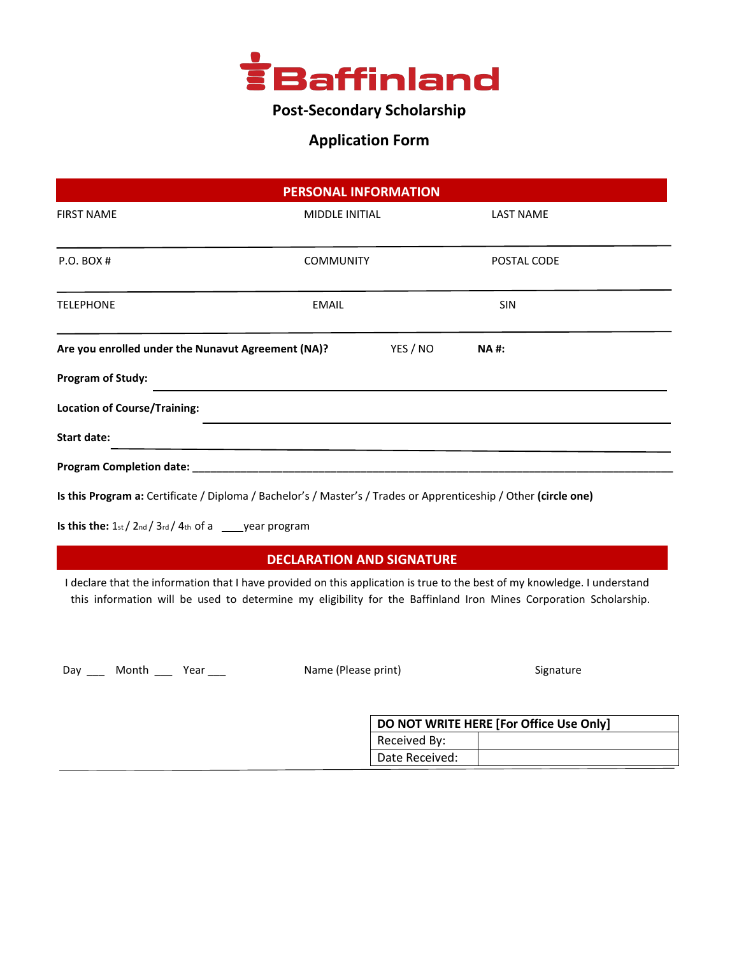

# **Post-Secondary Scholarship**

### **Application Form**

|                                                    | <b>PERSONAL INFORMATION</b>                                                                                             |                  |                  |             |  |
|----------------------------------------------------|-------------------------------------------------------------------------------------------------------------------------|------------------|------------------|-------------|--|
| <b>FIRST NAME</b>                                  | <b>MIDDLE INITIAL</b>                                                                                                   |                  | <b>LAST NAME</b> |             |  |
| $P.O.$ BOX #                                       |                                                                                                                         | <b>COMMUNITY</b> |                  | POSTAL CODE |  |
| <b>TELEPHONE</b>                                   | <b>EMAIL</b>                                                                                                            |                  | <b>SIN</b>       |             |  |
| Are you enrolled under the Nunavut Agreement (NA)? |                                                                                                                         | YES / NO         | <b>NA#:</b>      |             |  |
| <b>Program of Study:</b>                           |                                                                                                                         |                  |                  |             |  |
| <b>Location of Course/Training:</b>                | ,我们也不会有什么。""我们的人,我们也不会有什么?""我们的人,我们也不会有什么?""我们的人,我们也不会有什么?""我们的人,我们也不会有什么?""我们的人                                        |                  |                  |             |  |
| Start date:                                        | the control of the control of the control of the control of the control of the control of the control of the control of |                  |                  |             |  |
|                                                    |                                                                                                                         |                  |                  |             |  |
|                                                    | Is this Program a: Certificate / Diploma / Bachelor's / Master's / Trades or Apprenticeship / Other (circle one)        |                  |                  |             |  |

**Is this the:**  $1st / 2nd / 3rd / 4th$  of a \_\_\_\_year program

#### **DECLARATION AND SIGNATURE**

 **E**I declare that the information that I have provided on this application is true to the best of my knowledge. I understand this information will be used to determine my eligibility for the Baffinland Iron Mines Corporation Scholarship.

Day \_\_\_ Month \_\_\_ Year \_\_\_ Mame (Please print) Mame (Please print) Signature

|                | DO NOT WRITE HERE [For Office Use Only] |
|----------------|-----------------------------------------|
| Received By:   |                                         |
| Date Received: |                                         |